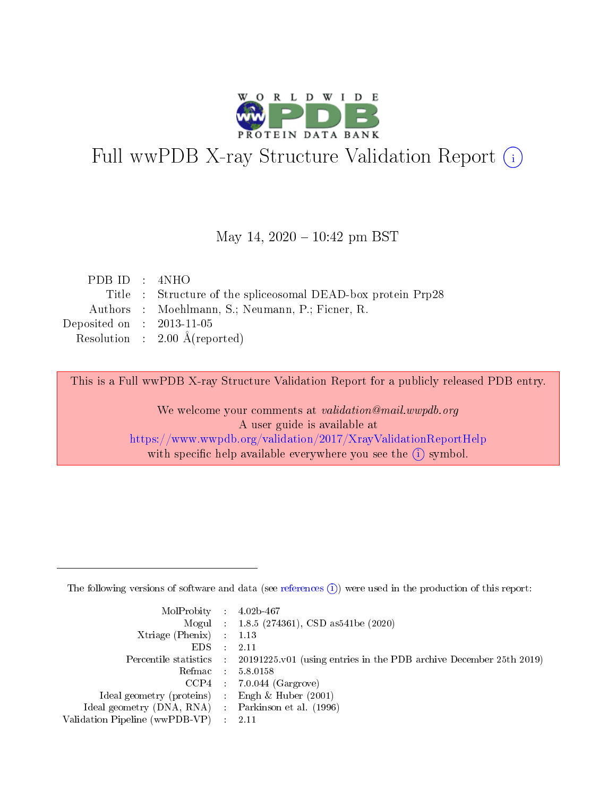

# Full wwPDB X-ray Structure Validation Report (i)

#### May 14,  $2020 - 10:42$  pm BST

| PDBID : 4NHO                |                                                               |
|-----------------------------|---------------------------------------------------------------|
|                             | Title : Structure of the splice osomal DEAD-box protein Prp28 |
|                             | Authors : Moehlmann, S.; Neumann, P.; Ficner, R.              |
| Deposited on : $2013-11-05$ |                                                               |
|                             | Resolution : $2.00 \text{ Å}$ (reported)                      |
|                             |                                                               |

This is a Full wwPDB X-ray Structure Validation Report for a publicly released PDB entry.

We welcome your comments at validation@mail.wwpdb.org A user guide is available at <https://www.wwpdb.org/validation/2017/XrayValidationReportHelp> with specific help available everywhere you see the  $(i)$  symbol.

The following versions of software and data (see [references](https://www.wwpdb.org/validation/2017/XrayValidationReportHelp#references)  $(1)$ ) were used in the production of this report:

| $MolProbability$ : 4.02b-467                        |                                                                                            |
|-----------------------------------------------------|--------------------------------------------------------------------------------------------|
|                                                     | Mogul : 1.8.5 (274361), CSD as 541be (2020)                                                |
| Xtriage (Phenix) $: 1.13$                           |                                                                                            |
| EDS :                                               | -2.11                                                                                      |
|                                                     | Percentile statistics : 20191225.v01 (using entries in the PDB archive December 25th 2019) |
| Refmac 58.0158                                      |                                                                                            |
|                                                     | $CCP4$ 7.0.044 (Gargrove)                                                                  |
| Ideal geometry (proteins) : Engh $\&$ Huber (2001)  |                                                                                            |
| Ideal geometry (DNA, RNA) : Parkinson et al. (1996) |                                                                                            |
| Validation Pipeline (wwPDB-VP) : 2.11               |                                                                                            |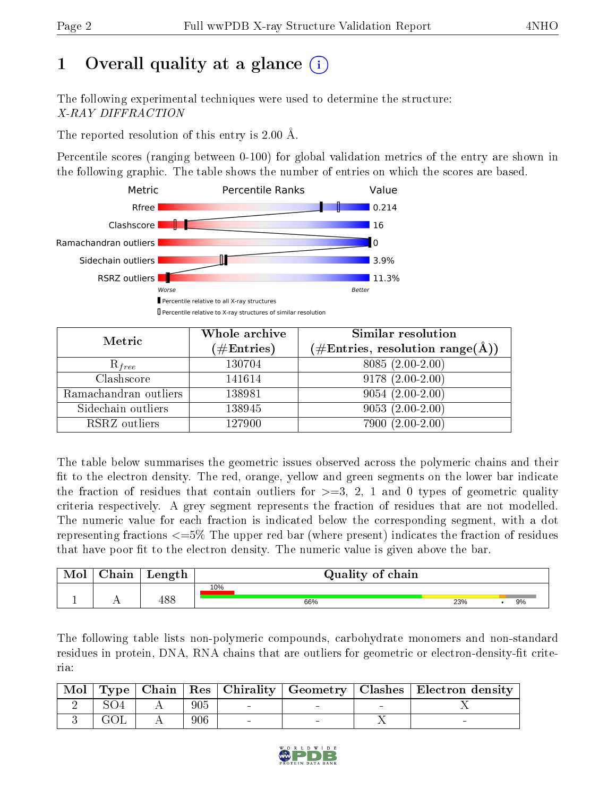## 1 [O](https://www.wwpdb.org/validation/2017/XrayValidationReportHelp#overall_quality)verall quality at a glance  $(i)$

The following experimental techniques were used to determine the structure: X-RAY DIFFRACTION

The reported resolution of this entry is 2.00 Å.

Percentile scores (ranging between 0-100) for global validation metrics of the entry are shown in the following graphic. The table shows the number of entries on which the scores are based.



| Metric                | Whole archive<br>$(\#\text{Entries})$ | Similar resolution<br>$(\#\text{Entries}, \text{resolution range}(\textup{\AA}))$ |
|-----------------------|---------------------------------------|-----------------------------------------------------------------------------------|
| $R_{free}$            | 130704                                | $8085(2.00-2.00)$                                                                 |
| Clashscore            | 141614                                | $9178(2.00-2.00)$                                                                 |
| Ramachandran outliers | 138981                                | $9054(2.00-2.00)$                                                                 |
| Sidechain outliers    | 138945                                | $9053(2.00-2.00)$                                                                 |
| RSRZ outliers         | 127900                                | $7900(2.00-2.00)$                                                                 |

The table below summarises the geometric issues observed across the polymeric chains and their fit to the electron density. The red, orange, yellow and green segments on the lower bar indicate the fraction of residues that contain outliers for  $\geq=3$ , 2, 1 and 0 types of geometric quality criteria respectively. A grey segment represents the fraction of residues that are not modelled. The numeric value for each fraction is indicated below the corresponding segment, with a dot representing fractions  $\epsilon=5\%$  The upper red bar (where present) indicates the fraction of residues that have poor fit to the electron density. The numeric value is given above the bar.

| Mol | $\cap$ hain | Length      | Quality of chain |     |  |    |  |  |  |  |  |
|-----|-------------|-------------|------------------|-----|--|----|--|--|--|--|--|
|     |             |             | 10%              |     |  |    |  |  |  |  |  |
|     |             | 100<br>40 C | 66%              | 23% |  | 9% |  |  |  |  |  |

The following table lists non-polymeric compounds, carbohydrate monomers and non-standard residues in protein, DNA, RNA chains that are outliers for geometric or electron-density-fit criteria:

| Mol |      |     |  | Type   Chain   Res   Chirality   Geometry   Clashes   Electron density |
|-----|------|-----|--|------------------------------------------------------------------------|
|     |      | 905 |  |                                                                        |
|     | .HO) | 906 |  |                                                                        |

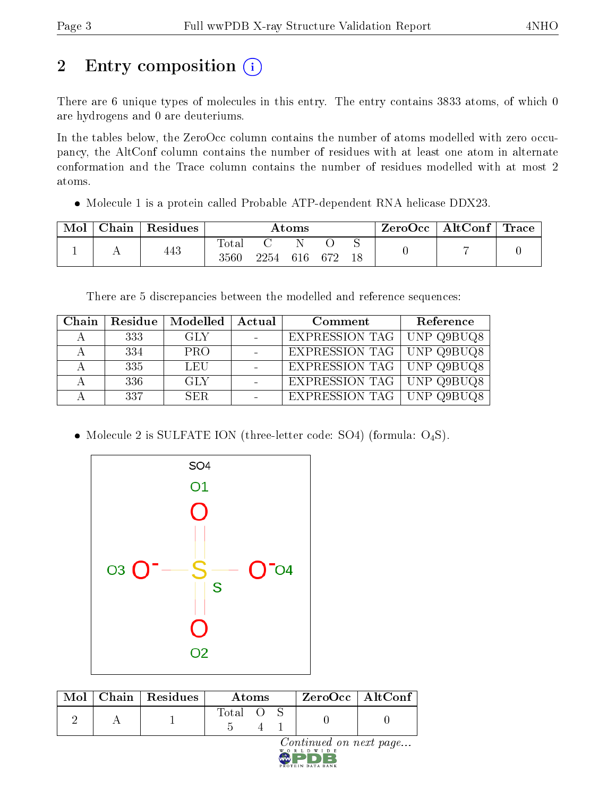## 2 Entry composition (i)

There are 6 unique types of molecules in this entry. The entry contains 3833 atoms, of which 0 are hydrogens and 0 are deuteriums.

In the tables below, the ZeroOcc column contains the number of atoms modelled with zero occupancy, the AltConf column contains the number of residues with at least one atom in alternate conformation and the Trace column contains the number of residues modelled with at most 2 atoms.

• Molecule 1 is a protein called Probable ATP-dependent RNA helicase DDX23.

| Mol | Chain   Residues | Atoms                     |              |  |  |    | ZeroOcc∣ | $\vert$ AltConf $\vert$ Trace $\vert$ |  |
|-----|------------------|---------------------------|--------------|--|--|----|----------|---------------------------------------|--|
|     | 443              | $\mathrm{Tota}_1$<br>3560 | 2254 616 672 |  |  | 18 |          |                                       |  |

There are 5 discrepancies between the modelled and reference sequences:

| Chain |      | Residue   Modelled | Actual | Comment                            | Reference |
|-------|------|--------------------|--------|------------------------------------|-----------|
|       | 333  | GLY                |        | EXPRESSION TAG   UNP Q9BUQ8        |           |
|       | -334 | <b>PRO</b>         |        | EXPRESSION TAG   UNP Q9BUQ8        |           |
|       | 335  | LEU                |        | EXPRESSION TAG   UNP Q9BUQ8        |           |
|       | 336  | <b>GLY</b>         |        | <b>EXPRESSION TAG   UNP Q9BUQ8</b> |           |
|       | 337  | SER.               |        | EXPRESSION TAG   UNP Q9BUQ8        |           |

• Molecule 2 is SULFATE ION (three-letter code: SO4) (formula: O<sub>4</sub>S).



|  | $\text{Mol}$   Chain   Residues | Atoms   |  |  |                                     | $ZeroOcc$   AltConf |
|--|---------------------------------|---------|--|--|-------------------------------------|---------------------|
|  |                                 | Total O |  |  |                                     |                     |
|  |                                 |         |  |  | Continued on next page<br>WORLDWIDE |                     |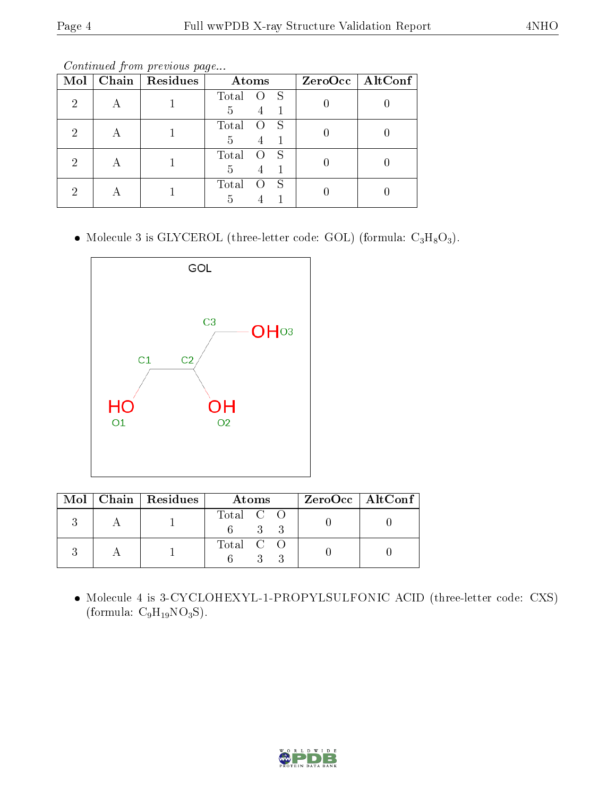Continued from previous page...

| Mol | Chain | Residues | Atoms      | $ZeroOcc$   AltConf |
|-----|-------|----------|------------|---------------------|
| റ   |       |          | Total<br>S |                     |
|     |       |          | 5<br>4     |                     |
| റ   | А     |          | Total<br>S |                     |
|     |       |          | 5          |                     |
| റ   |       |          | Total<br>S |                     |
|     | А     |          | 5          |                     |
| റ   |       |          | Total<br>S |                     |
|     |       |          | 5          |                     |

• Molecule 3 is GLYCEROL (three-letter code: GOL) (formula:  $C_3H_8O_3$ ).



|  | $Mol$   Chain   Residues | Atoms     | $\rm ZeroOcc \mid AltConf \mid$ |
|--|--------------------------|-----------|---------------------------------|
|  |                          | Total C O |                                 |
|  |                          | Total C O |                                 |

 Molecule 4 is 3-CYCLOHEXYL-1-PROPYLSULFONIC ACID (three-letter code: CXS) (formula:  $C_9H_{19}NO_3S$ ).

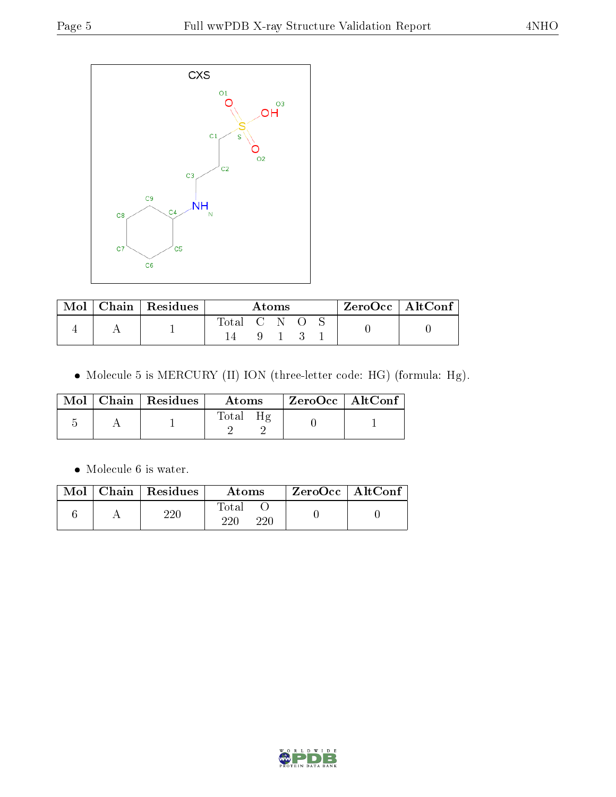

| Mol | $\parallel$ Chain $\parallel$ Residues $\parallel$ | Atoms       |  |  |  |  | $ZeroOcc \   \ AltConf \  $ |
|-----|----------------------------------------------------|-------------|--|--|--|--|-----------------------------|
|     |                                                    | Total C N O |  |  |  |  |                             |
|     |                                                    |             |  |  |  |  |                             |

Molecule 5 is MERCURY (II) ION (three-letter code: HG) (formula: Hg).

|  | $\text{Mol}$   Chain   Residues | Atoms            | ZeroOcc   AltConf |  |
|--|---------------------------------|------------------|-------------------|--|
|  |                                 | $\text{Total}^-$ |                   |  |

Molecule 6 is water.

| $\operatorname{Mol}$ | $\vert$ Chain $\vert$ Residues | Atoms               | $\rm ZeroOcc \mid AltConf$ |  |
|----------------------|--------------------------------|---------------------|----------------------------|--|
|                      | $220\,$                        | Total<br>220<br>220 |                            |  |

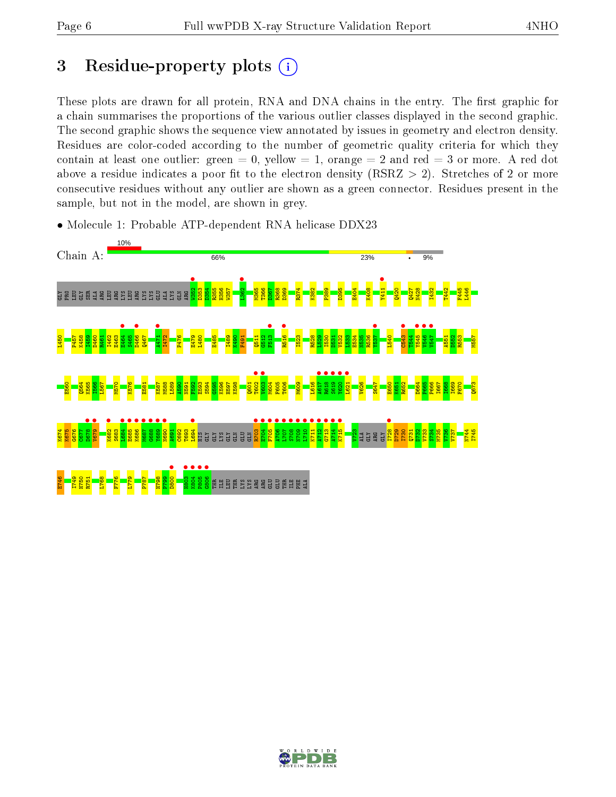## 3 Residue-property plots  $(i)$

These plots are drawn for all protein, RNA and DNA chains in the entry. The first graphic for a chain summarises the proportions of the various outlier classes displayed in the second graphic. The second graphic shows the sequence view annotated by issues in geometry and electron density. Residues are color-coded according to the number of geometric quality criteria for which they contain at least one outlier: green  $= 0$ , yellow  $= 1$ , orange  $= 2$  and red  $= 3$  or more. A red dot above a residue indicates a poor fit to the electron density (RSRZ  $> 2$ ). Stretches of 2 or more consecutive residues without any outlier are shown as a green connector. Residues present in the sample, but not in the model, are shown in grey.

• Molecule 1: Probable ATP-dependent RNA helicase DDX23



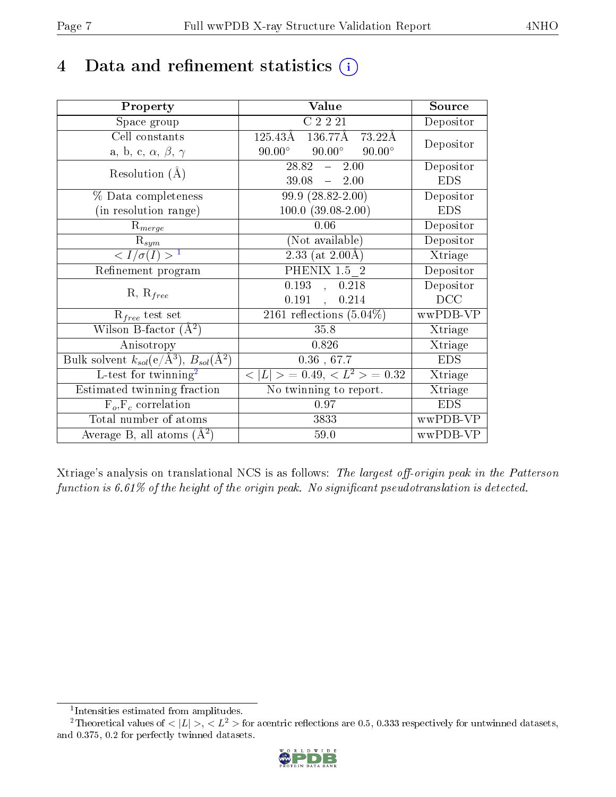## 4 Data and refinement statistics  $(i)$

| Property                                                                | Value                                             | Source     |
|-------------------------------------------------------------------------|---------------------------------------------------|------------|
| Space group                                                             | $C$ 2 $\overline{2}$ $\overline{21}$              | Depositor  |
| Cell constants                                                          | 125.43Å<br>136.77Å<br>73.22Å                      |            |
| a, b, c, $\alpha$ , $\beta$ , $\gamma$                                  | $90.00^\circ$<br>$90.00^{\circ}$<br>$90.00^\circ$ | Depositor  |
| Resolution $(A)$                                                        | $28.82 - 2.00$                                    | Depositor  |
|                                                                         | $39.08 - 2.00$                                    | <b>EDS</b> |
| % Data completeness                                                     | $99.9(28.82-2.00)$                                | Depositor  |
| (in resolution range)                                                   | $100.0 (39.08 - 2.00)$                            | <b>EDS</b> |
| $R_{merge}$                                                             | 0.06                                              | Depositor  |
| $\mathrm{R}_{sym}$                                                      | (Not available)                                   | Depositor  |
| $\langle I/\sigma(I) \rangle^{-1}$                                      | $2.33$ (at 2.00Å)                                 | Xtriage    |
| Refinement program                                                      | PHENIX 1.5 2                                      | Depositor  |
|                                                                         | 0.193<br>0.218<br>$\sim$                          | Depositor  |
| $R, R_{free}$                                                           | 0.191,<br>0.214                                   | DCC        |
| $\mathcal{R}_{free}$ test set                                           | $\overline{2161}$ reflections $(5.04\%)$          | wwPDB-VP   |
| Wilson B-factor $(A^2)$                                                 | 35.8                                              | Xtriage    |
| Anisotropy                                                              | 0.826                                             | Xtriage    |
| Bulk solvent $k_{sol}(\mathrm{e}/\mathrm{A}^3),\,B_{sol}(\mathrm{A}^2)$ | $0.36$ , 67.7                                     | <b>EDS</b> |
| L-test for twinning <sup>2</sup>                                        | $< L >$ = 0.49, $< L^2 >$ = 0.32                  | Xtriage    |
| Estimated twinning fraction                                             | No twinning to report.                            | Xtriage    |
| $F_o, F_c$ correlation                                                  | 0.97                                              | <b>EDS</b> |
| Total number of atoms                                                   | 3833                                              | wwPDB-VP   |
| Average B, all atoms $(A^2)$                                            | $59.0$                                            | wwPDB-VP   |

Xtriage's analysis on translational NCS is as follows: The largest off-origin peak in the Patterson function is  $6.61\%$  of the height of the origin peak. No significant pseudotranslation is detected.

<sup>&</sup>lt;sup>2</sup>Theoretical values of  $\langle |L| \rangle$ ,  $\langle L^2 \rangle$  for acentric reflections are 0.5, 0.333 respectively for untwinned datasets, and 0.375, 0.2 for perfectly twinned datasets.



<span id="page-6-1"></span><span id="page-6-0"></span><sup>1</sup> Intensities estimated from amplitudes.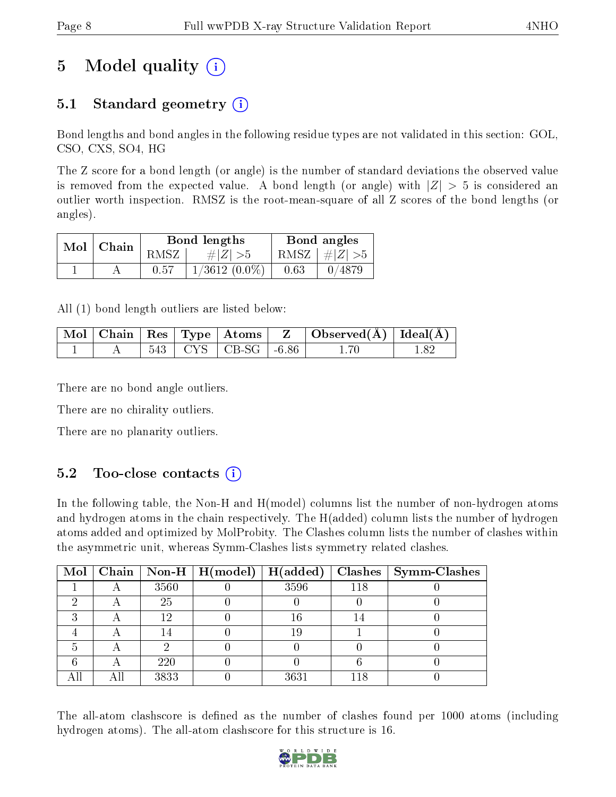## 5 Model quality  $(i)$

### 5.1 Standard geometry  $\overline{()}$

Bond lengths and bond angles in the following residue types are not validated in this section: GOL, CSO, CXS, SO4, HG

The Z score for a bond length (or angle) is the number of standard deviations the observed value is removed from the expected value. A bond length (or angle) with  $|Z| > 5$  is considered an outlier worth inspection. RMSZ is the root-mean-square of all Z scores of the bond lengths (or angles).

| Mol   Chain |      | Bond lengths    | Bond angles |                         |
|-------------|------|-----------------|-------------|-------------------------|
|             | RMSZ | # $ Z  > 5$     |             | RMSZ $\mid \#Z \mid >5$ |
|             | 0.57 | $1/3612(0.0\%)$ | 0.63        | 0/4879                  |

All (1) bond length outliers are listed below:

|  |  | $\mid$ Mol $\mid$ Chain $\mid$ Res $\mid$ Type $\mid$ Atoms $\mid$ | Observed( $\AA$ )   Ideal $\overline{(\overline{A})}$ |  |
|--|--|--------------------------------------------------------------------|-------------------------------------------------------|--|
|  |  | $543$   CYS   CB-SG   -6.86                                        |                                                       |  |

There are no bond angle outliers.

There are no chirality outliers.

There are no planarity outliers.

#### $5.2$  Too-close contacts  $(i)$

In the following table, the Non-H and H(model) columns list the number of non-hydrogen atoms and hydrogen atoms in the chain respectively. The H(added) column lists the number of hydrogen atoms added and optimized by MolProbity. The Clashes column lists the number of clashes within the asymmetric unit, whereas Symm-Clashes lists symmetry related clashes.

| Mol |      | Chain   Non-H   $H(model)$   $H(added)$ |      |     | $Clashes$   Symm-Clashes |
|-----|------|-----------------------------------------|------|-----|--------------------------|
|     | 3560 |                                         | 3596 | 118 |                          |
|     | 25   |                                         |      |     |                          |
|     | 12   |                                         | 16   |     |                          |
|     |      |                                         | 19   |     |                          |
|     |      |                                         |      |     |                          |
|     | 220  |                                         |      |     |                          |
|     | 3833 |                                         | 3631 | 118 |                          |

The all-atom clashscore is defined as the number of clashes found per 1000 atoms (including hydrogen atoms). The all-atom clashscore for this structure is 16.

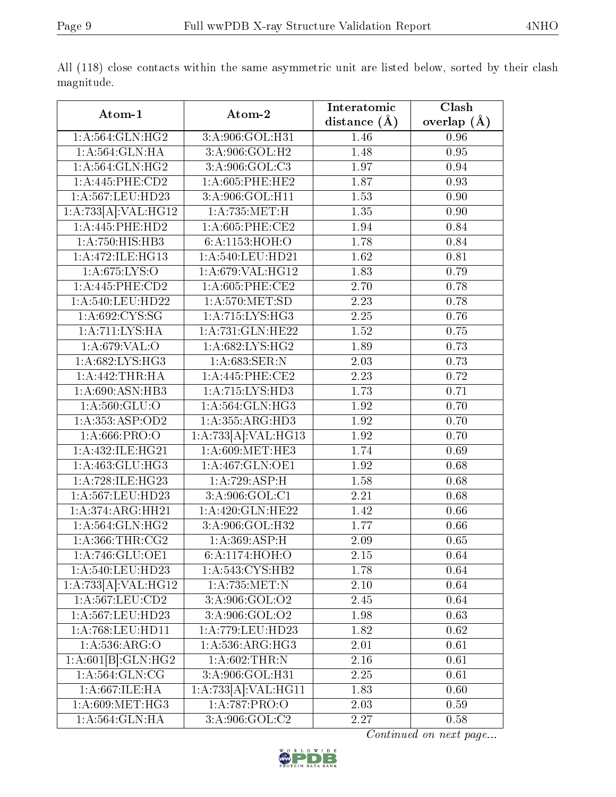| Atom-1                            | Atom-2                          | Interatomic    | $\overline{\text{Clash}}$ |
|-----------------------------------|---------------------------------|----------------|---------------------------|
|                                   |                                 | distance $(A)$ | overlap $(\AA)$           |
| 1: A:564: GLN: HG2                | 3:A:906:GOL:H31                 | 1.46           | 0.96                      |
| 1: A:564: GLN: HA                 | 3:A:906:GOL:H2                  | 1.48           | 0.95                      |
| 1: A:564: GLN: HG2                | 3:A:906:GOL:C3                  | 1.97           | 0.94                      |
| 1: A:445:PHE:CD2                  | $1: A:605:$ PHE:HE2             | 1.87           | 0.93                      |
| 1:A:567:LEU:HD23                  | 3:A:906:GOL:H11                 | 1.53           | 0.90                      |
| 1:A:733[A]:VAL:H G12              | 1:A:735:MET:H                   | 1.35           | 0.90                      |
| 1:A:445:PHE:HD2                   | $1: A:605:$ PHE:CE2             | 1.94           | 0.84                      |
| 1:A:750:HIS:HB3                   | 6:A:1153:HOH:O                  | 1.78           | 0.84                      |
| 1:A:472:ILE:HG13                  | 1:A:540:LEU:HD21                | 1.62           | 0.81                      |
| 1: A:675: LYS:O                   | 1:A:679:VAL:HG12                | 1.83           | 0.79                      |
| $1: A:445:$ PHE:CD2               | 1:A:605:PHE:CE2                 | 2.70           | 0.78                      |
| 1:A:540:LEU:HD22                  | 1: A:570:MET:SD                 | 2.23           | 0.78                      |
| 1: A:692: CYS:SG                  | 1: A:715: LYS: HG3              | 2.25           | 0.76                      |
| 1: A: 711: LYS: HA                | 1:A:731:GLN:HE22                | 1.52           | 0.75                      |
| 1: A:679: VAL:O                   | 1:A:682:LYS:HG2                 | 1.89           | 0.73                      |
| 1:A:682:LYS:HG3                   | 1:A:683:SER:N                   | 2.03           | 0.73                      |
| 1: A:442:THR:HA                   | 1: A:445: PHE:CE2               | 2.23           | 0.72                      |
| 1: A:690:ASN:HB3                  | 1:A:715:LYS:HD3                 | 1.73           | 0.71                      |
| 1: A: 560: GLU:O                  | 1:A:564:GLN:HG3                 | 1.92           | 0.70                      |
| 1: A: 353: ASP: OD2               | 1:A:355:ARG:HD3                 | 1.92           | 0.70                      |
| $1: A:666 \cdot \overline{PRO:O}$ | 1:A:733[A]:VAL:HG13             | 1.92           | 0.70                      |
| 1:A:432:ILE:HG21                  | 1: A:609: MET:HE3               | 1.74           | 0.69                      |
| 1:A:463:GLU:HG3                   | 1: A:467: GLN:OE1               | 1.92           | 0.68                      |
| 1:A:728:ILE:HG23                  | 1:A:729:ASP:H                   | 1.58           | 0.68                      |
| 1:A:567:LEU:HD23                  | 3:A:906:GOL:C1                  | 2.21           | 0.68                      |
| 1:A:374:ARG:HH21                  | 1:A:420:GLN:HE22                | 1.42           | 0.66                      |
| 1: A:564: GLN: HG2                | $3:A:906:GOL:\overline{H32}$    | 1.77           | 0.66                      |
| 1: A: 366: THR: CG2               | 1: A:369: ASP:H                 | 2.09           | 0.65                      |
| 1: A:746: GLU:OE1                 | 6:A:1174:HOH:O                  | 2.15           | 0.64                      |
| 1:A:540:LEU:HD23                  | 1:A:543:CYS:HB2                 | 1.78           | 0.64                      |
| 1:A:733[A]:VAL:HG12               | 1:A:735:MET:N                   | $2.10\,$       | 0.64                      |
| 1:A:567:LEU:CD2                   | 3:A:906:GOL:O2                  | 2.45           | 0.64                      |
| 1:A:567:LEU:HD23                  | $3: A:906: GOL: \overline{O2}$  | 1.98           | 0.63                      |
| 1:A:768:LEU:HD11                  | 1:A:779:LEU:HD23                | 1.82           | 0.62                      |
| 1: A: 536: ARG: O                 | 1: A:536:ARG:HG3                | 2.01           | 0.61                      |
| 1:A:601[B]:GLN:HG2                | 1: A:602:THR:N                  | 2.16           | 0.61                      |
| 1: A:564: GLN: CG                 | 3:A:906:GOL:H31                 | 2.25           | 0.61                      |
| 1: A:667: ILE: HA                 | 1:A:733[A]:VAL:H <sub>G11</sub> | 1.83           | 0.60                      |
| 1: A:609: MET:HG3                 | 1:A:787:PRO:O                   | 2.03           | 0.59                      |
| 1:A:564:GLN:HA                    | 3:A:906:GOL:C2                  | 2.27           | 0.58                      |

All (118) close contacts within the same asymmetric unit are listed below, sorted by their clash magnitude.

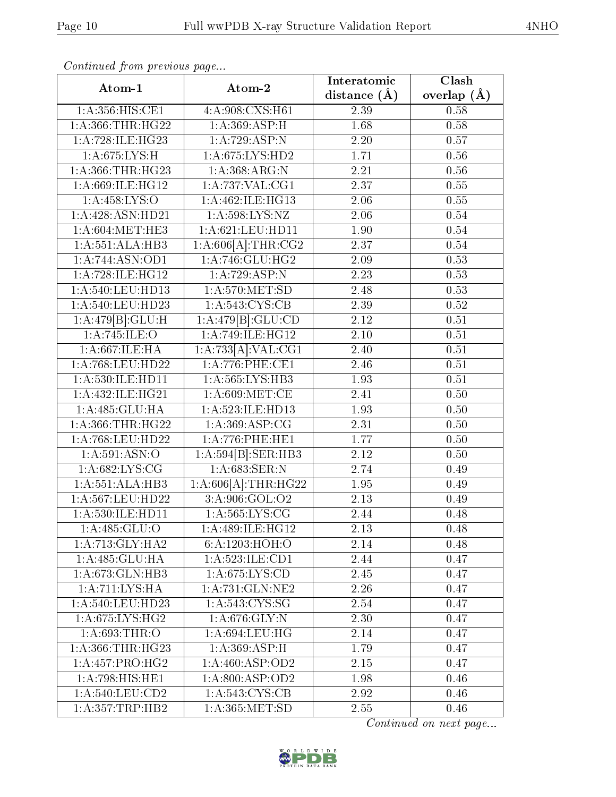| Continued from previous page |                                                                   | Interatomic      | Clash           |  |
|------------------------------|-------------------------------------------------------------------|------------------|-----------------|--|
| Atom-1                       | Atom-2                                                            | distance $(\AA)$ | overlap $(\AA)$ |  |
| 1: A: 356: HIS: CE1          | 4:A:908:CXS:H61                                                   | 2.39             | 0.58            |  |
| 1: A: 366: THR: HG22         | 1:A:369:ASP:H                                                     | 1.68             | 0.58            |  |
| 1:A:728:ILE:HG23             | 1:A:729:ASP:N                                                     | 2.20             | 0.57            |  |
| 1:A:675:LYS:H                | 1:A:675:LYS:HD2                                                   | 1.71             | $0.56\,$        |  |
| 1:A:366:THR:HG23             | 1:A:368:ARG:N                                                     | 2.21             | 0.56            |  |
| 1:A:669:ILE:HG12             | 1:A:737:VAL:CG1                                                   | 2.37             | 0.55            |  |
| 1: A: 458: LYS: O            | 1:A:462:ILE:HG13                                                  | 2.06             | $0.55\,$        |  |
| 1:A:428:ASN:HD21             | 1:A:598:LYS:NZ                                                    | 2.06             | 0.54            |  |
| 1: A:604:MET:HE3             | 1:A:621:LEU:HD11                                                  | 1.90             | 0.54            |  |
| 1: A: 551: ALA: HB3          | $1:A:606[A]:\text{THR}:CG2$                                       | 2.37             | 0.54            |  |
| 1: A:744: ASN:OD1            | 1:A:746:GLU:HG2                                                   | 2.09             | 0.53            |  |
| 1:A:728:ILE:HG12             | 1:A:729:ASP:N                                                     | 2.23             | 0.53            |  |
| 1:A:540:LEU:HD13             | 1: A:570:MET:SD                                                   | 2.48             | 0.53            |  |
| 1:A:540:LEU:HD23             | 1: A:543: CYS:CB                                                  | 2.39             | 0.52            |  |
| 1:A:479[B]:GLU:H             | 1:A:479[B]:GLU:CD                                                 | 2.12             | 0.51            |  |
| 1: A:745: ILE: O             | $1:\stackrel{\textstyle\Lambda}{\textstyle\Lambda}$ :749:ILE:HG12 | 2.10             | 0.51            |  |
| 1:A:667:ILE:HA               | 1:A:733[A]:VAL:CG1                                                | 2.40             | 0.51            |  |
| 1:A:768:LEU:HD22             | 1:A:776:PHE:CE1                                                   | 2.46             | 0.51            |  |
| 1:A:530:ILE:HD11             | 1: A: 565: LYS: HB3                                               | 1.93             | 0.51            |  |
| 1:A:432:ILE:HG21             | 1: A:609:MET:CE                                                   | 2.41             | 0.50            |  |
| 1:A:485:GLU:HA               | 1:A:523:ILE:HD13                                                  | 1.93             | 0.50            |  |
| 1: A: 366: THR: HG22         | 1:A:369:ASP:CG                                                    | 2.31             | 0.50            |  |
| 1:A:768:LEU:HD22             | $1: A:776:$ PHE:HE $1$                                            | 1.77             | 0.50            |  |
| 1: A:591: ASN:O              | 1:A:594[B]:SER:HB3                                                | 2.12             | 0.50            |  |
| 1: A:682: LYS: CG            | 1:A:683:SER:N                                                     | 2.74             | 0.49            |  |
| 1: A: 551: ALA: HB3          | $1:A:606[A]:\text{THR}:HG22$                                      | 1.95             | 0.49            |  |
| 1:A:567:LEU:HD22             | 3: A:906: GOL:O2                                                  | 2.13             | 0.49            |  |
| 1: A:530: ILE: HD11          | 1: A: 565: LYS: CG                                                | 2.44             | 0.48            |  |
| 1:A.485:GLU:O                | 1:A:489:ILE:HG12                                                  | 2.13             | 0.48            |  |
| 1:A:713:GLY:HA2              | 6:A:1203:HOH:O                                                    | 2.14             | 0.48            |  |
| 1:A:485:GLU:HA               | 1:A:523:ILE:CD1                                                   | 2.44             | 0.47            |  |
| 1:A:673:GLN:HB3              | 1: A:675: LYS:CD                                                  | 2.45             | 0.47            |  |
| 1: A:711:LYS:HA              | 1:A:731:GLN:NE2                                                   | 2.26             | 0.47            |  |
| 1: A:540:LEU:HD23            | 1: A:543: CYS:SG                                                  | 2.54             | 0.47            |  |
| 1: A:675: LYS: HG2           | 1: A:676: GLY:N                                                   | 2.30             | 0.47            |  |
| 1: A:693:THR:O               | 1: A:694:LEU:HG                                                   | 2.14             | 0.47            |  |
| 1: A: 366: THR: HG23         | 1: A:369: ASP:H                                                   | 1.79             | 0.47            |  |
| 1:A:457:PRO:HG2              | 1: A:460: ASP:OD2                                                 | 2.15             | 0.47            |  |
| 1: A:798: HIS: HE1           | 1: A:800: ASP:OD2                                                 | 1.98             | 0.46            |  |
| 1: A:540:LEU:CD2             | 1: A:543: CYS:CB                                                  | 2.92             | 0.46            |  |
| 1: A: 357: TRP: HB2          | 1:A:365:MET:SD                                                    | 2.55             | 0.46            |  |

Continued from previous page.

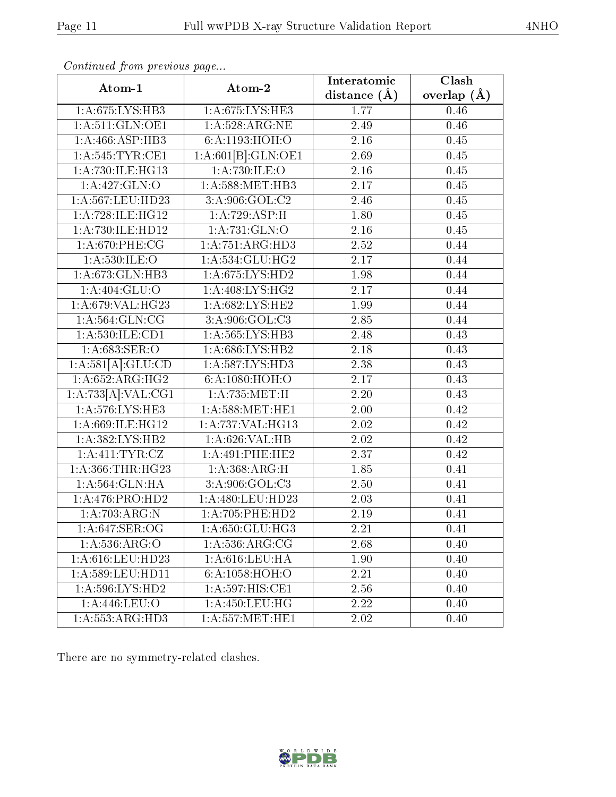| × |
|---|
|   |

| Continued from previous page<br>Atom-1 | Atom-2              | Interatomic       | $\overline{\text{Clash}}$ |
|----------------------------------------|---------------------|-------------------|---------------------------|
|                                        |                     | distance $(A)$    | overlap $(\AA)$           |
| 1:A:675:LYS:HB3                        | 1:A:675:LYS:HE3     | 1.77              | 0.46                      |
| 1: A:511: GLN:OE1                      | 1: A:528:ARG:NE     | 2.49              | 0.46                      |
| 1:A:466:ASP:HB3                        | 6:A:1193:HOH:O      | 2.16              | 0.45                      |
| 1: A:545:TYR:CE1                       | 1:A:601[B]:GLN:OE1  | 2.69              | 0.45                      |
| 1:A:730:ILE:HG13                       | 1:A:730:ILE:O       | 2.16              | 0.45                      |
| 1:A:427:GLN:O                          | 1: A:588: MET:HB3   | 2.17              | 0.45                      |
| 1:A:567:LEU:HD23                       | 3: A:906: GOL: C2   | 2.46              | 0.45                      |
| 1:A:728:ILE:HG12                       | 1:A:729:ASP:H       | 1.80              | 0.45                      |
| 1:A:730:ILE:HD12                       | 1: A: 731: GLN: O   | $\overline{2.16}$ | 0.45                      |
| 1:A:670:PHE:CG                         | 1:A:751:ARG:HD3     | 2.52              | 0.44                      |
| 1: A:530: ILE: O                       | 1:A:534:GLU:HG2     | 2.17              | 0.44                      |
| 1:A:673:GLN:HB3                        | 1: A:675: LYS: HD2  | 1.98              | 0.44                      |
| 1:A:404:GLU:O                          | 1:A:408:LYS:HG2     | 2.17              | 0.44                      |
| 1:A:679:VAL:HG23                       | 1:A:682:LYS:HE2     | 1.99              | 0.44                      |
| 1: A:564: GLN: CG                      | 3:A:906:GOL:C3      | 2.85              | 0.44                      |
| 1:A:530:ILE:CD1                        | 1:A:565:LYS:HB3     | 2.48              | 0.43                      |
| 1: A:683: SER:O                        | 1: A:686: LYS: HB2  | 2.18              | 0.43                      |
| 1:A:581[A]:GLU:CD                      | 1: A:587:LYS:HD3    | 2.38              | 0.43                      |
| 1: A:652:ARG:HG2                       | 6:A:1080:HOH:O      | 2.17              | 0.43                      |
| 1:A:733[A]:VAL:CG1                     | 1: A: 735: MET:H    | 2.20              | 0.43                      |
| 1:A:576:LYS:HE3                        | 1: A:588: MET:HE1   | 2.00              | 0.42                      |
| 1:A:669:ILE:HG12                       | 1:A:737:VAL:HG13    | 2.02              | 0.42                      |
| 1:A:382:LYS:HB2                        | 1:A:626:VAL:HB      | 2.02              | 0.42                      |
| 1:A:411:TYR:CZ                         | 1: A:491:PHE:HE2    | 2.37              | 0.42                      |
| 1: A: 366: THR: HG23                   | 1: A:368:ARG:H      | 1.85              | 0.41                      |
| 1: A: 564: GLN: HA                     | 3: A:906: GOL: C3   | 2.50              | 0.41                      |
| 1: A:476: PRO:HD2                      | 1:A:480:LEU:HD23    | 2.03              | 0.41                      |
| 1: A:703:ARG:N                         | 1: A:705: PHE:HD2   | 2.19              | 0.41                      |
| 1: A:647: SER:OG                       | 1:A:650:GLU:HG3     | 2.21              | 0.41                      |
| 1: A:536: ARG:O                        | 1: A:536: ARG: CG   | 2.68              | 0.40                      |
| 1:A:616:LEU:HD23                       | 1:A:616:LEU:HA      | 1.90              | 0.40                      |
| 1:A:589:LEU:HD11                       | 6:A:1058:HOH:O      | 2.21              | 0.40                      |
| 1:A:596:LYS:HD2                        | 1:A:597:HIS:CE1     | 2.56              | 0.40                      |
| 1: A:446: LEU:O                        | 1: A: 450: LEU: HG  | 2.22              | 0.40                      |
| 1:A:553:ARG:HD3                        | 1: A: 557: MET: HE1 | 2.02              | 0.40                      |

Continued from previous page.

There are no symmetry-related clashes.

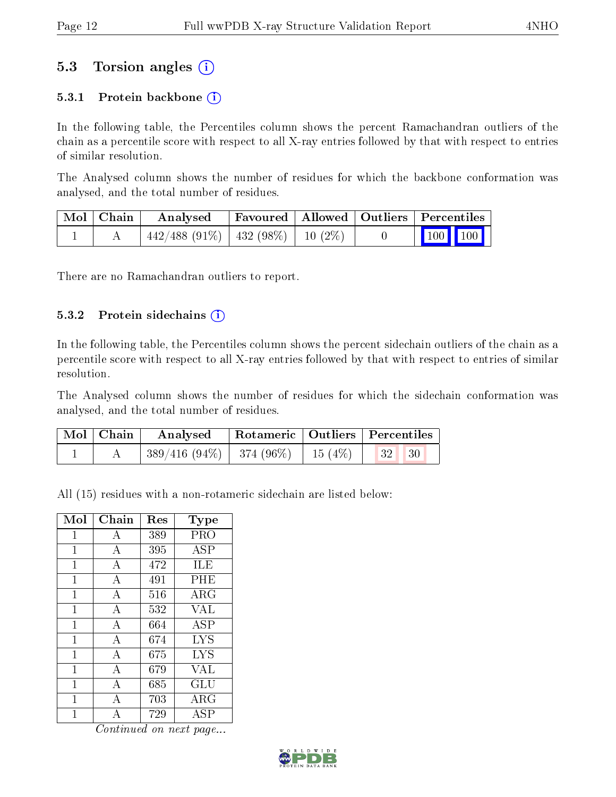### 5.3 Torsion angles (i)

#### 5.3.1 Protein backbone  $(i)$

In the following table, the Percentiles column shows the percent Ramachandran outliers of the chain as a percentile score with respect to all X-ray entries followed by that with respect to entries of similar resolution.

The Analysed column shows the number of residues for which the backbone conformation was analysed, and the total number of residues.

| $\mid$ Mol $\mid$ Chain $\mid$ | $\boldsymbol{\mathrm{Analysed}}$         | Favoured   Allowed   Outliers   Percentiles |  |                                                                           |
|--------------------------------|------------------------------------------|---------------------------------------------|--|---------------------------------------------------------------------------|
|                                | $442/488$ (91\%)   432 (98\%)   10 (2\%) |                                             |  | $\begin{array}{ c c c c c c }\n\hline\n100 & 100 & \\\hline\n\end{array}$ |

There are no Ramachandran outliers to report.

#### 5.3.2 Protein sidechains (i)

In the following table, the Percentiles column shows the percent sidechain outliers of the chain as a percentile score with respect to all X-ray entries followed by that with respect to entries of similar resolution.

The Analysed column shows the number of residues for which the sidechain conformation was analysed, and the total number of residues.

| Mol   Chain | Analysed Rotameric   Outliers   Percentiles                          |  |  |  |
|-------------|----------------------------------------------------------------------|--|--|--|
|             | $\mid$ 389/416 (94\%) $\mid$ 374 (96\%) $\mid$ 15 (4\%) $\mid$ 32 30 |  |  |  |

All (15) residues with a non-rotameric sidechain are listed below:

| Mol          | Chain          | Res | Type                        |
|--------------|----------------|-----|-----------------------------|
| 1            | А              | 389 | PRO                         |
| 1            | $\bf{A}$       | 395 | <b>ASP</b>                  |
| 1            | A              | 472 | ILE                         |
| 1            | А              | 491 | PHE                         |
| 1            | $\overline{A}$ | 516 | $\rm{ARG}$                  |
| 1            | А              | 532 | <b>VAL</b>                  |
| 1            | $\bf{A}$       | 664 | <b>ASP</b>                  |
| 1            | $\bf{A}$       | 674 | <b>LYS</b>                  |
| 1            | А              | 675 | <b>LYS</b>                  |
| $\mathbf{1}$ | $\overline{A}$ | 679 | VAL                         |
| 1            | А              | 685 | GLU                         |
| 1            | A              | 703 | ARG                         |
| 1            | А              | 729 | $\overline{\rm A}\, \rm SP$ |

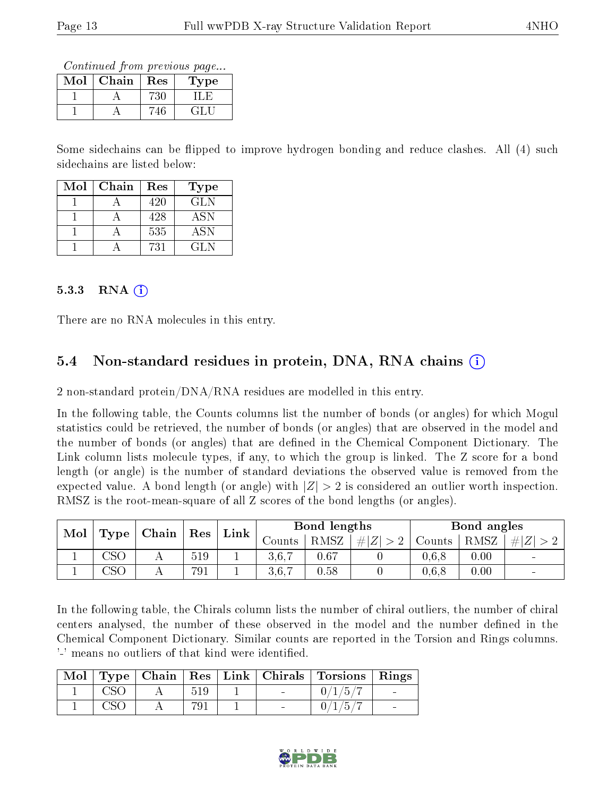Continued from previous page...

| Mol | Chain | Res | Type |
|-----|-------|-----|------|
|     |       |     |      |
|     |       |     | - 41 |

Some sidechains can be flipped to improve hydrogen bonding and reduce clashes. All (4) such sidechains are listed below:

| Mol | Chain | Res | Type |
|-----|-------|-----|------|
|     |       | 420 | GLN. |
|     |       | 428 | ASN  |
|     |       | 535 | ASN  |
|     |       | 731 | GL N |

#### $5.3.3$  RNA  $(i)$

There are no RNA molecules in this entry.

#### 5.4 Non-standard residues in protein, DNA, RNA chains (i)

2 non-standard protein/DNA/RNA residues are modelled in this entry.

In the following table, the Counts columns list the number of bonds (or angles) for which Mogul statistics could be retrieved, the number of bonds (or angles) that are observed in the model and the number of bonds (or angles) that are dened in the Chemical Component Dictionary. The Link column lists molecule types, if any, to which the group is linked. The Z score for a bond length (or angle) is the number of standard deviations the observed value is removed from the expected value. A bond length (or angle) with  $|Z| > 2$  is considered an outlier worth inspection. RMSZ is the root-mean-square of all Z scores of the bond lengths (or angles).

| $\bf{Mol}$ | $\mid$ Type $\mid$ Chain $\mid$ Res |  |     | $Link \mid$ |          | Bond lengths |             |        | Bond angles |                          |  |
|------------|-------------------------------------|--|-----|-------------|----------|--------------|-------------|--------|-------------|--------------------------|--|
|            |                                     |  |     |             | Jounts I | RMSZ         | # $ Z  > 2$ | Counts | RMSZ        | Z   > 2                  |  |
|            | $\csc$                              |  | 519 |             | 3,6,7    | 0.67         |             | 0.6, 8 | $0.00\,$    |                          |  |
|            | CSC                                 |  | 791 |             |          | 0.58         |             | 0.6.8  | 0.00        | $\overline{\phantom{a}}$ |  |

In the following table, the Chirals column lists the number of chiral outliers, the number of chiral centers analysed, the number of these observed in the model and the number defined in the Chemical Component Dictionary. Similar counts are reported in the Torsion and Rings columns. '-' means no outliers of that kind were identified.

|  |     |        | Mol   Type   Chain   Res   Link   Chirals   Torsions   Rings |        |
|--|-----|--------|--------------------------------------------------------------|--------|
|  | 519 |        | /1/5/                                                        |        |
|  |     | $\sim$ | 1/5/                                                         | $\sim$ |

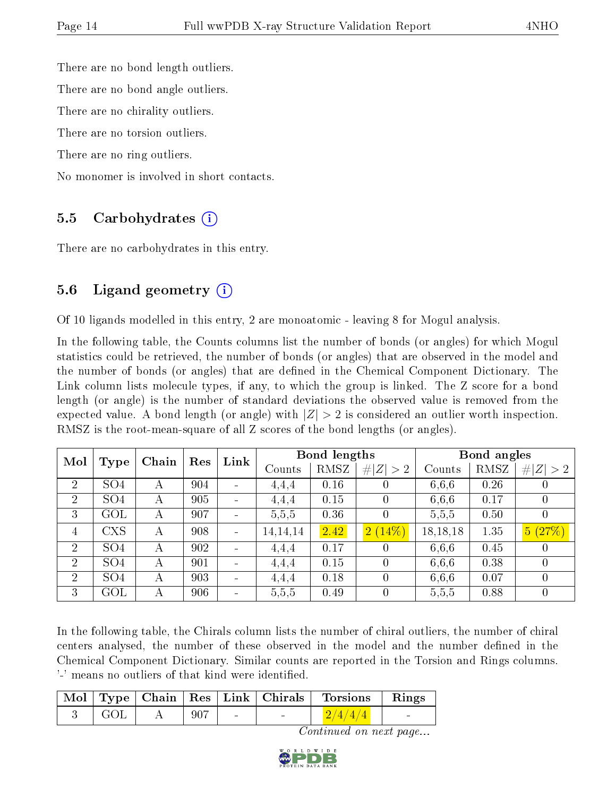There are no bond length outliers.

There are no bond angle outliers.

There are no chirality outliers.

There are no torsion outliers.

There are no ring outliers.

No monomer is involved in short contacts.

#### 5.5 Carbohydrates (i)

There are no carbohydrates in this entry.

#### 5.6 Ligand geometry (i)

Of 10 ligands modelled in this entry, 2 are monoatomic - leaving 8 for Mogul analysis.

In the following table, the Counts columns list the number of bonds (or angles) for which Mogul statistics could be retrieved, the number of bonds (or angles) that are observed in the model and the number of bonds (or angles) that are dened in the Chemical Component Dictionary. The Link column lists molecule types, if any, to which the group is linked. The Z score for a bond length (or angle) is the number of standard deviations the observed value is removed from the expected value. A bond length (or angle) with  $|Z| > 2$  is considered an outlier worth inspection. RMSZ is the root-mean-square of all Z scores of the bond lengths (or angles).

| Mol            |                 | Chain          | Res | Link |            | Bond lengths |                  |            | Bond angles |                  |
|----------------|-----------------|----------------|-----|------|------------|--------------|------------------|------------|-------------|------------------|
|                | Type            |                |     |      | Counts     | RMSZ         | Z  > 2           | Counts     | RMSZ        | # $ Z  > 2$      |
| 2              | SO <sub>4</sub> | А              | 904 |      | 4,4,4      | 0.16         |                  | 6,6,6      | 0.26        |                  |
| $\overline{2}$ | SO <sub>4</sub> | $\overline{A}$ | 905 |      | 4,4,4      | 0.15         | $\left( \right)$ | 6,6,6      | 0.17        | $\cup$           |
| 3              | GOL             | А              | 907 |      | 5,5,5      | 0.36         | 0                | 5,5,5      | 0.50        | $\left( \right)$ |
| 4              | <b>CXS</b>      | А              | 908 |      | 14, 14, 14 | 2.42         | 2(14%)           | 18, 18, 18 | 1.35        | 5(27%)           |
| $\overline{2}$ | SO <sub>4</sub> | А              | 902 |      | 4,4,4      | 0.17         | $\left( \right)$ | 6,6,6      | 0.45        | $\left( \right)$ |
| 2              | SO <sub>4</sub> | А              | 901 |      | 4,4,4      | 0.15         | 0                | 6,6,6      | 0.38        |                  |
| $\overline{2}$ | SO <sub>4</sub> | А              | 903 |      | 4.4.4      | 0.18         | 0                | 6,6,6      | 0.07        | 0                |
| 3              | GOL             | А              | 906 |      | 5,5,5      | 0.49         | 0                | 5,5,5      | 0.88        | $\left( \right)$ |

In the following table, the Chirals column lists the number of chiral outliers, the number of chiral centers analysed, the number of these observed in the model and the number defined in the Chemical Component Dictionary. Similar counts are reported in the Torsion and Rings columns. '-' means no outliers of that kind were identified.

|     |     |        | Mol   Type   Chain   Res   Link   Chirals   Torsions   Rings |                                   |
|-----|-----|--------|--------------------------------------------------------------|-----------------------------------|
| GOL | 907 | $\sim$ | 2/4/4/4                                                      | <b>Contract Contract Contract</b> |

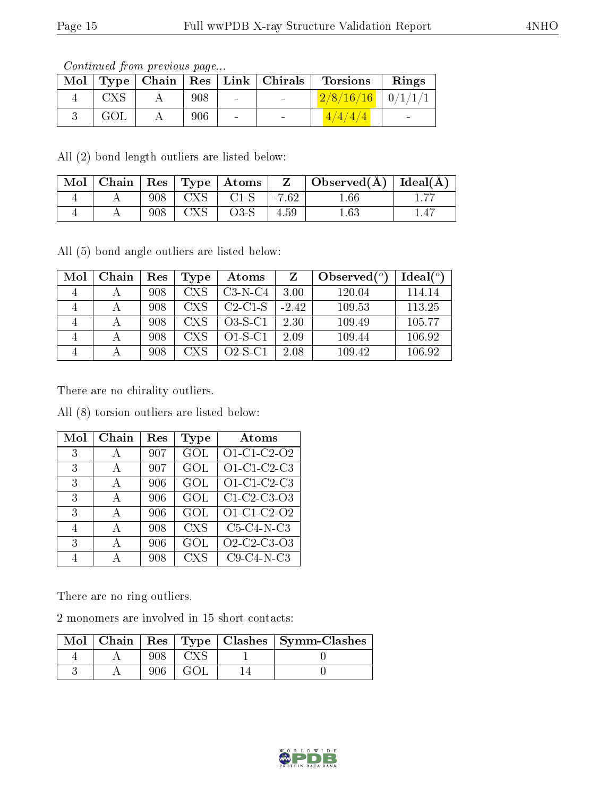Continued from previous page...

|     |     |        | Mol   Type   Chain   Res   Link   Chirals | <b>Torsions</b>         | Rings                    |
|-----|-----|--------|-------------------------------------------|-------------------------|--------------------------|
| CXS | 908 | $\sim$ | $\sim$                                    | $2/8/16/16$   $0/1/1/1$ |                          |
| GOL | 906 | $\sim$ | $\overline{\phantom{a}}$                  | 4/4/4/4                 | $\overline{\phantom{0}}$ |

All (2) bond length outliers are listed below:

| Mol |     |                | $\mid$ Chain $\mid$ Res $\mid$ Type $\mid$ Atoms |         | Observed( $\AA$ )   Ideal( $\AA$ ) |    |
|-----|-----|----------------|--------------------------------------------------|---------|------------------------------------|----|
|     | 908 | $\text{CXS}^-$ | $C1-S$                                           | $-7.62$ | $.66\,$                            | —— |
|     | 908 | <b>CXS</b>     | $O3-S$                                           | 4.59    | $1.63\,$                           |    |

All (5) bond angle outliers are listed below:

| Mol | Chain | Res | Type       | Atoms     |         | Observed $(°)$ | Ideal <sup>o</sup> |
|-----|-------|-----|------------|-----------|---------|----------------|--------------------|
|     |       | 908 | <b>CXS</b> | $C3-N-C4$ | 3.00    | 120.04         | 114.14             |
|     |       | 908 | <b>CXS</b> | $C2-C1-S$ | $-2.42$ | 109.53         | 113.25             |
|     |       | 908 | <b>CXS</b> | $O3-S-C1$ | 2.30    | 109.49         | 105.77             |
|     |       | 908 | <b>CXS</b> | $O1-S-C1$ | 2.09    | 109.44         | 106.92             |
|     |       | 908 | <b>CXS</b> | $O2-S-C1$ | 2.08    | 109.42         | 106.92             |

There are no chirality outliers.

All (8) torsion outliers are listed below:

| Mol | Chain | Res | Type       | Atoms         |
|-----|-------|-----|------------|---------------|
| 3   | А     | 907 | GOL        | O1-C1-C2-O2   |
| 3   | А     | 907 | GOL        | $O1-C1-C2-C3$ |
| 3   | А     | 906 | GOL        | O1-C1-C2-C3   |
| 3   | А     | 906 | GOL        | C1 C2 C3 O3   |
| 3   | А     | 906 | GOL        | O1-C1-C2-O2   |
| 4   | А     | 908 | <b>CXS</b> | $C5-C4-N-C3$  |
| 3   | А     | 906 | GOL        | O2-C2-C3-O3   |
|     |       | 908 | <b>CXS</b> | $C9-C4-N-C3$  |

There are no ring outliers.

2 monomers are involved in 15 short contacts:

|  |  | Mol   Chain   Res   Type   Clashes   Symm-Clashes |
|--|--|---------------------------------------------------|
|  |  |                                                   |
|  |  |                                                   |

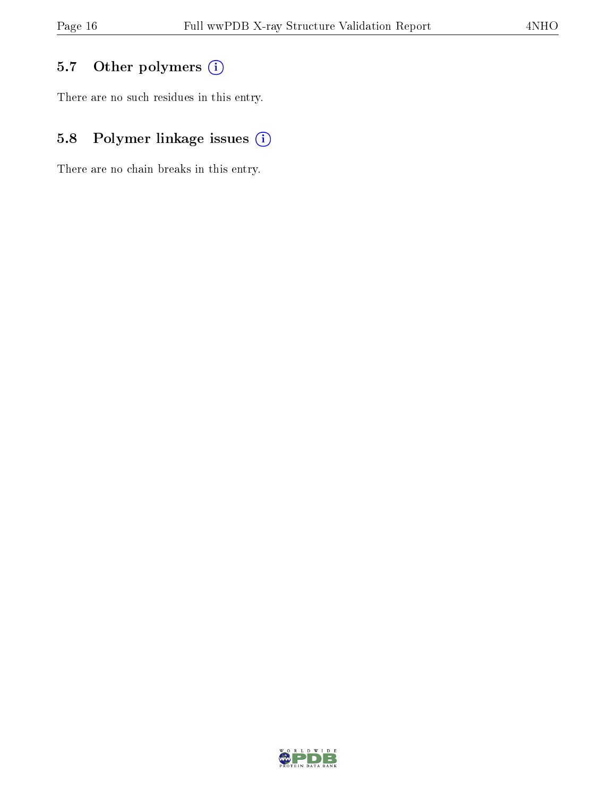### 5.7 [O](https://www.wwpdb.org/validation/2017/XrayValidationReportHelp#nonstandard_residues_and_ligands)ther polymers (i)

There are no such residues in this entry.

### 5.8 Polymer linkage issues (i)

There are no chain breaks in this entry.

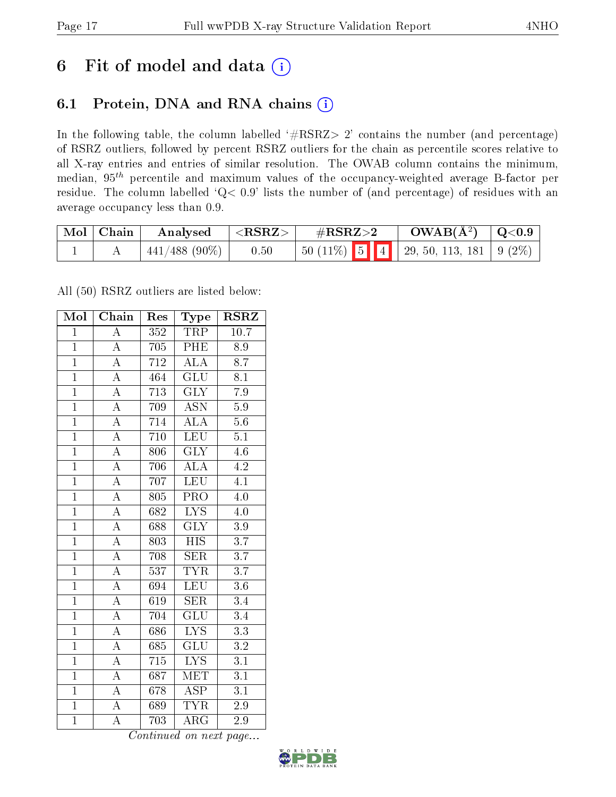## 6 Fit of model and data  $(i)$

### 6.1 Protein, DNA and RNA chains  $(i)$

In the following table, the column labelled  $#RSRZ> 2'$  contains the number (and percentage) of RSRZ outliers, followed by percent RSRZ outliers for the chain as percentile scores relative to all X-ray entries and entries of similar resolution. The OWAB column contains the minimum, median,  $95<sup>th</sup>$  percentile and maximum values of the occupancy-weighted average B-factor per residue. The column labelled ' $Q< 0.9$ ' lists the number of (and percentage) of residues with an average occupancy less than 0.9.

| Mol   Chain | Analysed        | $ \langle \mathrm{RSRZ} \rangle $ | $\rm \#RSRZ{>}2$                                                                                      | $\rm{OWAB}(\AA^2)$ $\vert$ Q<0.9 $\vert$ |  |
|-------------|-----------------|-----------------------------------|-------------------------------------------------------------------------------------------------------|------------------------------------------|--|
|             | $441/488$ (90%) | 0.50                              | $\begin{array}{ c c c c c c c c c } \hline 5 & 5 & 4 & 29, 50, 113, 181 & 9 & 2\% \hline \end{array}$ |                                          |  |

All (50) RSRZ outliers are listed below:

| Mol            | Chain                   | Res              | ${\bf Type}$              | <b>RSRZ</b>      |
|----------------|-------------------------|------------------|---------------------------|------------------|
| $\overline{1}$ | $\overline{\rm A}$      | 352              | TRP                       | 10.7             |
| $\overline{1}$ | $\overline{A}$          | 705              | PHE                       | 8.9              |
| $\overline{1}$ | $\overline{\rm A}$      | 712              | $\overline{\text{ALA}}$   | $\overline{8.7}$ |
| $\overline{1}$ | $\overline{A}$          | 464              | $\overline{\text{GLU}}$   | $\overline{8.1}$ |
| $\overline{1}$ | $\overline{A}$          | $\overline{713}$ | $\overline{\text{GLY}}$   | $\overline{7.9}$ |
| $\overline{1}$ | $\overline{\rm A}$      | 709              | <b>ASN</b>                | $5.9\,$          |
| $\overline{1}$ | $\overline{A}$          | 714              | $\overline{\rm ALA}$      | 5.6              |
| $\overline{1}$ | $\overline{\rm A}$      | 710              | <b>LEU</b>                | 5.1              |
| $\overline{1}$ | $\overline{\rm A}$      | 806              | <b>GLY</b>                | $4.6\,$          |
| $\overline{1}$ | $\overline{A}$          | 706              | $\overline{\rm ALA}$      | 4.2              |
| $\overline{1}$ | $\overline{\rm A}$      | 707              | <b>LEU</b>                | $\overline{4.1}$ |
| $\overline{1}$ | $\overline{A}$          | 805              | $\overline{\text{PRO}}$   | $\overline{4.0}$ |
| $\overline{1}$ | $\overline{A}$          | 682              | $\overline{\text{LYS}}$   | 4.0              |
| $\overline{1}$ | $\overline{\rm A}$      | 688              | $\overline{\text{GLY}}$   | $\overline{3.9}$ |
| $\overline{1}$ | $\overline{A}$          | 803              | $\overline{\mathrm{HIS}}$ | $\overline{3.7}$ |
| $\overline{1}$ | $\overline{A}$          | 708              | <b>SER</b>                | $\overline{3.7}$ |
| $\overline{1}$ | $\overline{\rm A}$      | 537              | $\overline{\text{TYR}}$   | $\overline{3.7}$ |
| $\mathbf{1}$   | $\overline{\rm A}$      | 694              | <b>LEU</b>                | 3.6              |
| $\mathbf{1}$   | $\overline{\rm A}$      | 619              | <b>SER</b>                | 3.4              |
| $\overline{1}$ | $\overline{A}$          | 704              | GLU                       | 3.4              |
| $\overline{1}$ | $\overline{A}$          | 686              | $\overline{\text{LYS}}$   | $\overline{3.3}$ |
| $\overline{1}$ | $\overline{\rm A}$      | 685              | $\overline{\mathrm{GLU}}$ | $\overline{3.2}$ |
| $\mathbf{1}$   | $\overline{\rm A}$      | 715              | $\overline{\text{LYS}}$   | $\overline{3.1}$ |
| $\overline{1}$ | $\overline{\rm A}$      | 687              | $\overline{\text{MET}}$   | $\overline{3.1}$ |
| $\overline{1}$ | $\overline{\mathbf{A}}$ | 678              | $\overline{\text{ASP}}$   | $\overline{3.1}$ |
| $\overline{1}$ | $\overline{\rm A}$      | 689              | $\overline{\text{TYR}}$   | $2.9\,$          |
| $\overline{1}$ | $\overline{\rm A}$      | 703              | $\overline{\rm{ARG}}$     | 2.9              |

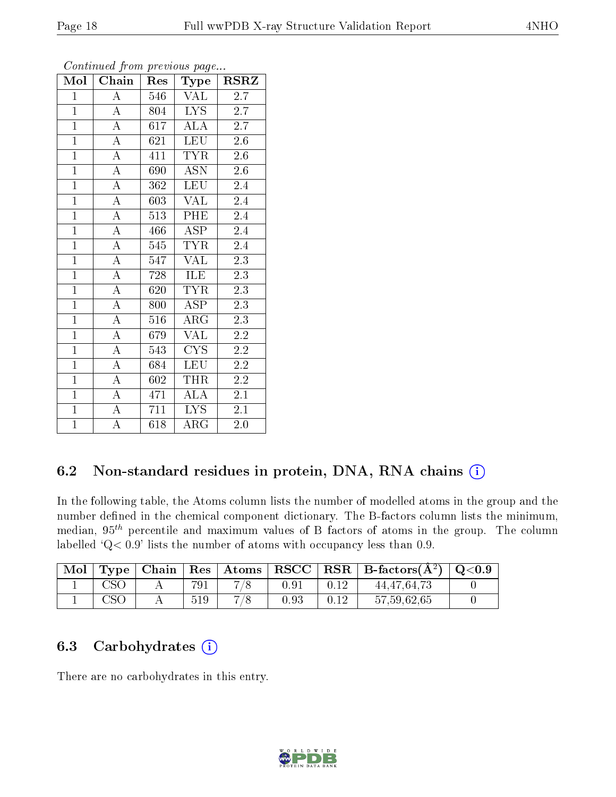| Mol            | Chain              | Res | Type                    | <b>RSRZ</b> |
|----------------|--------------------|-----|-------------------------|-------------|
| $\mathbf{1}$   | $\boldsymbol{A}$   | 546 | VAL                     | 2.7         |
| $\overline{1}$ | $\overline{A}$     | 804 | <b>LYS</b>              | 2.7         |
| $\overline{1}$ | $\overline{\rm A}$ | 617 | $\overline{ALA}$        | 2.7         |
| $\overline{1}$ | $\overline{\rm A}$ | 621 | <b>LEU</b>              | 2.6         |
| $\overline{1}$ | $\overline{A}$     | 411 | <b>TYR</b>              | $2.6\,$     |
| $\overline{1}$ | $\overline{\rm A}$ | 690 | <b>ASN</b>              | 2.6         |
| $\mathbf{1}$   | $\boldsymbol{A}$   | 362 | <b>LEU</b>              | 2.4         |
| $\overline{1}$ | $\overline{A}$     | 603 | <b>VAL</b>              | 2.4         |
| $\overline{1}$ | $\overline{A}$     | 513 | PHE                     | 2.4         |
| $\overline{1}$ | $\overline{\rm A}$ | 466 | ASP                     | 2.4         |
| $\overline{1}$ | $\overline{\rm A}$ | 545 | <b>TYR</b>              | 2.4         |
| $\overline{1}$ | $\overline{\rm A}$ | 547 | $\overline{\text{VAL}}$ | 2.3         |
| $\overline{1}$ | $\overline{A}$     | 728 | ILE                     | 2.3         |
| $\overline{1}$ | $\overline{A}$     | 620 | <b>TYR</b>              | 2.3         |
| $\overline{1}$ | $\overline{A}$     | 800 | <b>ASP</b>              | 2.3         |
| $\mathbf{1}$   | $\overline{A}$     | 516 | $\rm{ARG}$              | 2.3         |
| $\overline{1}$ | $\overline{\rm A}$ | 679 | VAL                     | 2.2         |
| $\mathbf{1}$   | $\overline{\rm A}$ | 543 | CYS                     | 2.2         |
| $\mathbf{1}$   | $\boldsymbol{A}$   | 684 | <b>LEU</b>              | 2.2         |
| $\overline{1}$ | $\overline{\rm A}$ | 602 | <b>THR</b>              | $2.2\,$     |
| $\overline{1}$ | $\overline{\rm A}$ | 471 | <b>ALA</b>              | 2.1         |
| $\overline{1}$ | $\overline{\rm A}$ | 711 | $\overline{\text{LYS}}$ | 2.1         |
| $\overline{1}$ | $\overline{\rm A}$ | 618 | $\rm{ARG}$              | 2.0         |

Continued from previous page...

#### 6.2 Non-standard residues in protein, DNA, RNA chains (i)

In the following table, the Atoms column lists the number of modelled atoms in the group and the number defined in the chemical component dictionary. The B-factors column lists the minimum, median,  $95<sup>th</sup>$  percentile and maximum values of B factors of atoms in the group. The column labelled 'Q< 0.9' lists the number of atoms with occupancy less than 0.9.

| Mol | Type | Chain |     | $\mid$ Res $\mid$ Atoms $\mid$ | $\bf RSCC$ | $RSR \mid$ B-factors( $\AA^2$ ) | $\rm Q\textcolor{black}{<}0.9$ |
|-----|------|-------|-----|--------------------------------|------------|---------------------------------|--------------------------------|
|     |      |       | 791 |                                | $0.9^{-}$  | 44, 47, 64, 73                  |                                |
|     |      |       | 519 |                                | $\rm 0.93$ | 57,59,62,65                     |                                |

#### 6.3 Carbohydrates  $(i)$

There are no carbohydrates in this entry.